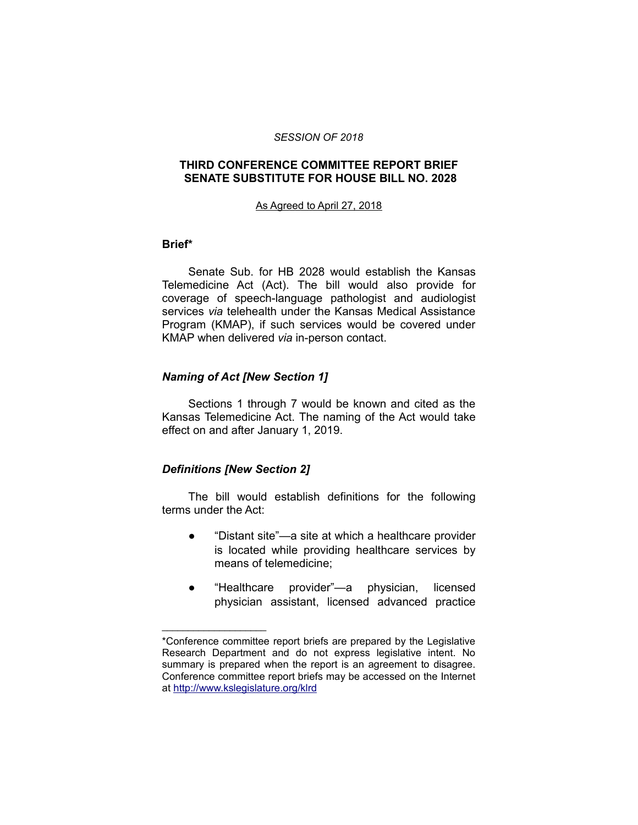#### *SESSION OF 2018*

## **THIRD CONFERENCE COMMITTEE REPORT BRIEF SENATE SUBSTITUTE FOR HOUSE BILL NO. 2028**

#### As Agreed to April 27, 2018

### **Brief\***

Senate Sub. for HB 2028 would establish the Kansas Telemedicine Act (Act). The bill would also provide for coverage of speech-language pathologist and audiologist services *via* telehealth under the Kansas Medical Assistance Program (KMAP), if such services would be covered under KMAP when delivered *via* in-person contact.

## *Naming of Act [New Section 1]*

Sections 1 through 7 would be known and cited as the Kansas Telemedicine Act. The naming of the Act would take effect on and after January 1, 2019.

## *Definitions [New Section 2]*

\_\_\_\_\_\_\_\_\_\_\_\_\_\_\_\_\_\_\_\_

The bill would establish definitions for the following terms under the Act:

- "Distant site"—a site at which a healthcare provider is located while providing healthcare services by means of telemedicine;
- "Healthcare provider"—a physician, licensed physician assistant, licensed advanced practice

<sup>\*</sup>Conference committee report briefs are prepared by the Legislative Research Department and do not express legislative intent. No summary is prepared when the report is an agreement to disagree. Conference committee report briefs may be accessed on the Internet at<http://www.kslegislature.org/klrd>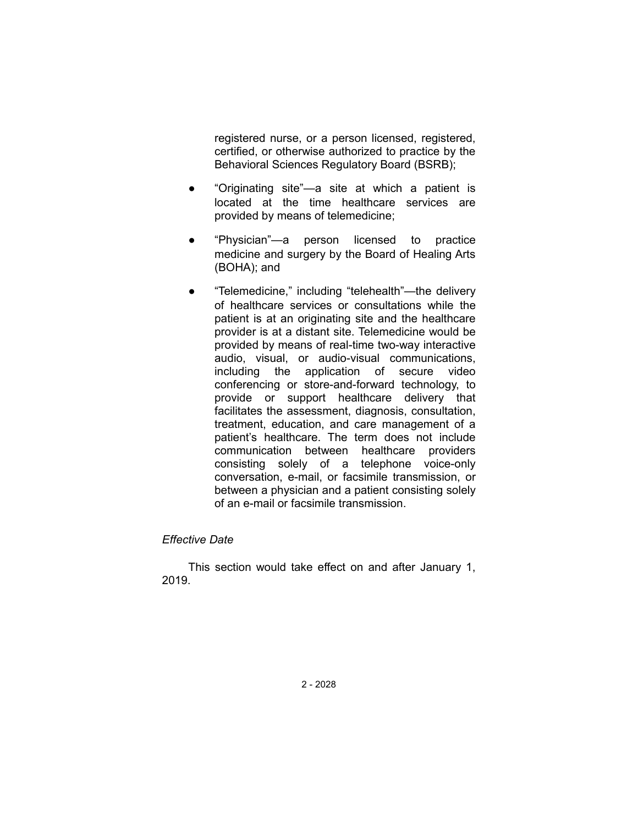registered nurse, or a person licensed, registered, certified, or otherwise authorized to practice by the Behavioral Sciences Regulatory Board (BSRB);

- "Originating site"—a site at which a patient is located at the time healthcare services are provided by means of telemedicine;
- "Physician"—a person licensed to practice medicine and surgery by the Board of Healing Arts (BOHA); and
- "Telemedicine," including "telehealth"—the delivery of healthcare services or consultations while the patient is at an originating site and the healthcare provider is at a distant site. Telemedicine would be provided by means of real-time two-way interactive audio, visual, or audio-visual communications, including the application of secure video conferencing or store-and-forward technology, to provide or support healthcare delivery that facilitates the assessment, diagnosis, consultation, treatment, education, and care management of a patient's healthcare. The term does not include communication between healthcare providers consisting solely of a telephone voice-only conversation, e-mail, or facsimile transmission, or between a physician and a patient consisting solely of an e-mail or facsimile transmission.

## *Effective Date*

This section would take effect on and after January 1, 2019.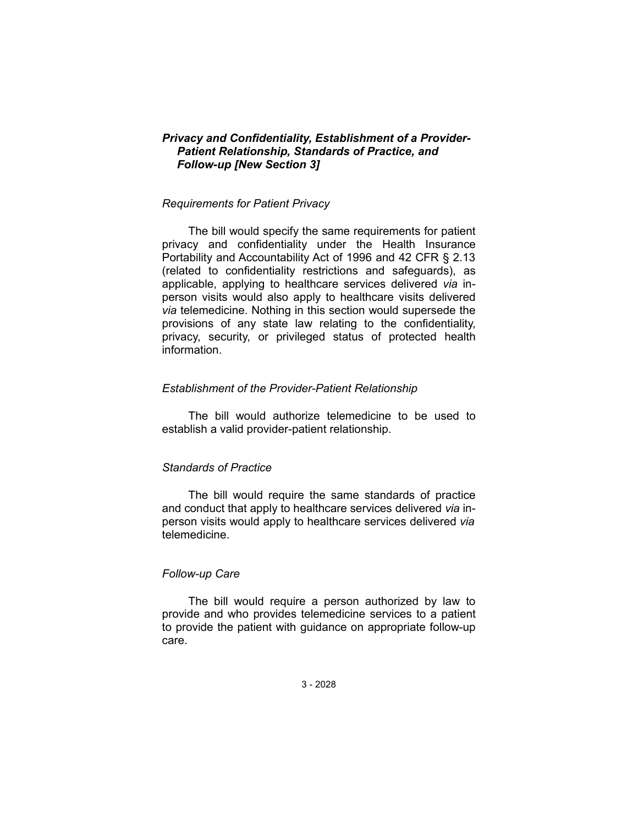## *Privacy and Confidentiality, Establishment of a Provider-Patient Relationship, Standards of Practice, and Follow-up [New Section 3]*

### *Requirements for Patient Privacy*

The bill would specify the same requirements for patient privacy and confidentiality under the Health Insurance Portability and Accountability Act of 1996 and 42 CFR § 2.13 (related to confidentiality restrictions and safeguards), as applicable, applying to healthcare services delivered *via* inperson visits would also apply to healthcare visits delivered *via* telemedicine. Nothing in this section would supersede the provisions of any state law relating to the confidentiality, privacy, security, or privileged status of protected health information.

### *Establishment of the Provider-Patient Relationship*

The bill would authorize telemedicine to be used to establish a valid provider-patient relationship.

### *Standards of Practice*

The bill would require the same standards of practice and conduct that apply to healthcare services delivered *via* inperson visits would apply to healthcare services delivered *via* telemedicine.

## *Follow-up Care*

The bill would require a person authorized by law to provide and who provides telemedicine services to a patient to provide the patient with guidance on appropriate follow-up care.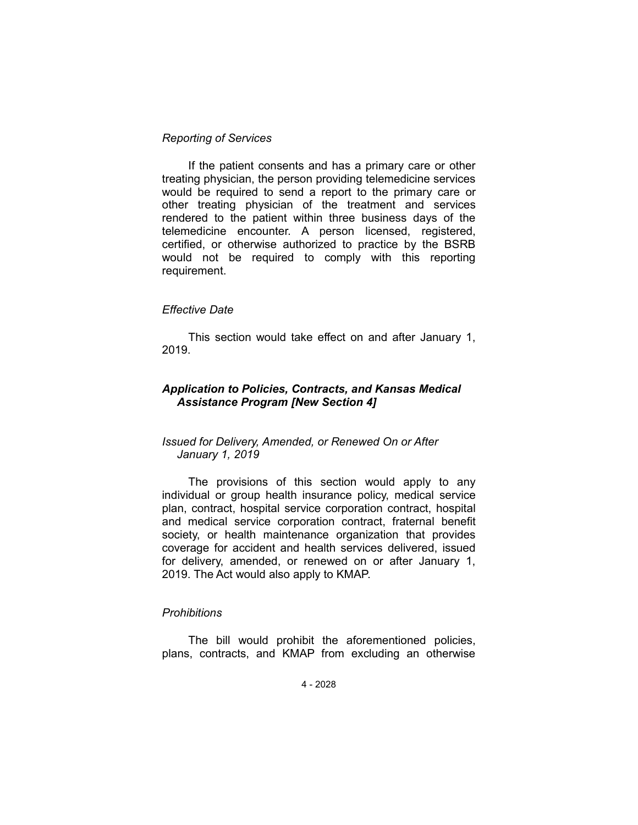### *Reporting of Services*

If the patient consents and has a primary care or other treating physician, the person providing telemedicine services would be required to send a report to the primary care or other treating physician of the treatment and services rendered to the patient within three business days of the telemedicine encounter. A person licensed, registered, certified, or otherwise authorized to practice by the BSRB would not be required to comply with this reporting requirement.

### *Effective Date*

This section would take effect on and after January 1, 2019.

# *Application to Policies, Contracts, and Kansas Medical Assistance Program [New Section 4]*

# *Issued for Delivery, Amended, or Renewed On or After January 1, 2019*

The provisions of this section would apply to any individual or group health insurance policy, medical service plan, contract, hospital service corporation contract, hospital and medical service corporation contract, fraternal benefit society, or health maintenance organization that provides coverage for accident and health services delivered, issued for delivery, amended, or renewed on or after January 1, 2019. The Act would also apply to KMAP.

## *Prohibitions*

The bill would prohibit the aforementioned policies, plans, contracts, and KMAP from excluding an otherwise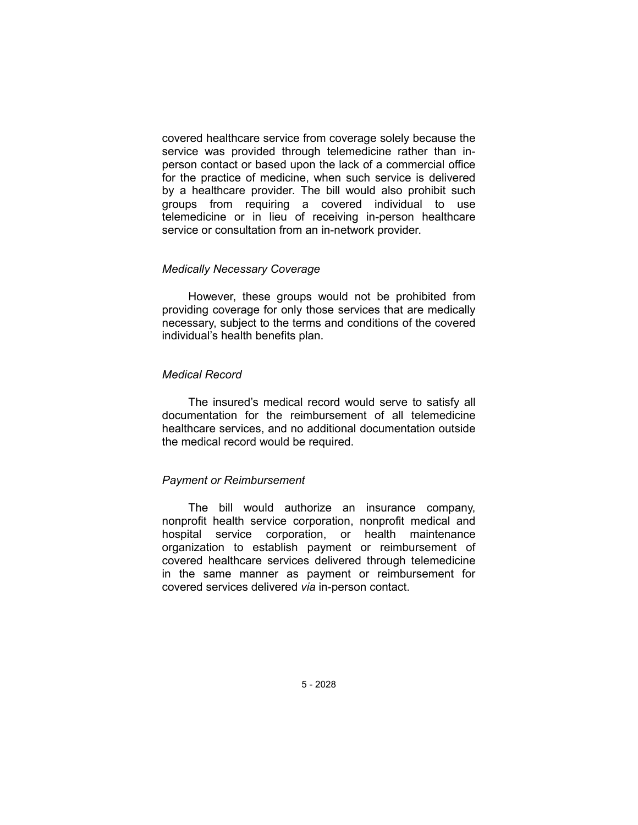covered healthcare service from coverage solely because the service was provided through telemedicine rather than inperson contact or based upon the lack of a commercial office for the practice of medicine, when such service is delivered by a healthcare provider. The bill would also prohibit such groups from requiring a covered individual to use telemedicine or in lieu of receiving in-person healthcare service or consultation from an in-network provider.

### *Medically Necessary Coverage*

However, these groups would not be prohibited from providing coverage for only those services that are medically necessary, subject to the terms and conditions of the covered individual's health benefits plan.

### *Medical Record*

The insured's medical record would serve to satisfy all documentation for the reimbursement of all telemedicine healthcare services, and no additional documentation outside the medical record would be required.

## *Payment or Reimbursement*

The bill would authorize an insurance company, nonprofit health service corporation, nonprofit medical and hospital service corporation, or health maintenance organization to establish payment or reimbursement of covered healthcare services delivered through telemedicine in the same manner as payment or reimbursement for covered services delivered *via* in-person contact.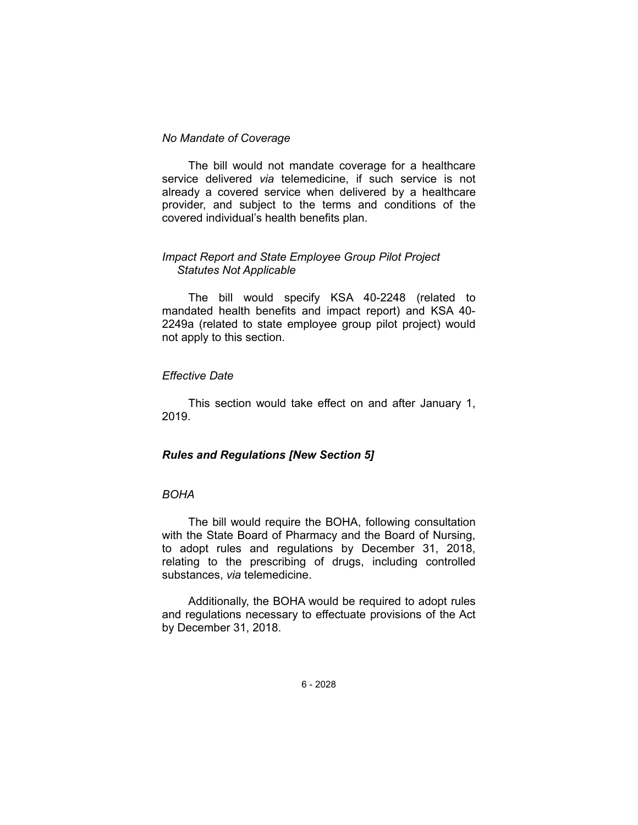### *No Mandate of Coverage*

The bill would not mandate coverage for a healthcare service delivered *via* telemedicine, if such service is not already a covered service when delivered by a healthcare provider, and subject to the terms and conditions of the covered individual's health benefits plan.

### *Impact Report and State Employee Group Pilot Project Statutes Not Applicable*

The bill would specify KSA 40-2248 (related to mandated health benefits and impact report) and KSA 40- 2249a (related to state employee group pilot project) would not apply to this section.

### *Effective Date*

This section would take effect on and after January 1, 2019.

## *Rules and Regulations [New Section 5]*

# *BOHA*

The bill would require the BOHA, following consultation with the State Board of Pharmacy and the Board of Nursing, to adopt rules and regulations by December 31, 2018, relating to the prescribing of drugs, including controlled substances, *via* telemedicine.

Additionally, the BOHA would be required to adopt rules and regulations necessary to effectuate provisions of the Act by December 31, 2018.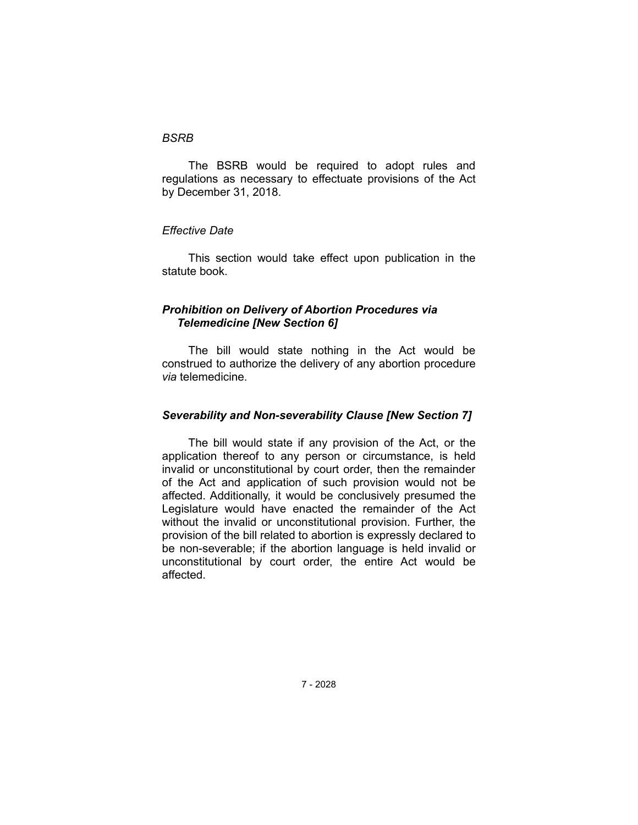#### *BSRB*

The BSRB would be required to adopt rules and regulations as necessary to effectuate provisions of the Act by December 31, 2018.

## *Effective Date*

This section would take effect upon publication in the statute book.

# *Prohibition on Delivery of Abortion Procedures via Telemedicine [New Section 6]*

The bill would state nothing in the Act would be construed to authorize the delivery of any abortion procedure *via* telemedicine.

# *Severability and Non-severability Clause [New Section 7]*

The bill would state if any provision of the Act, or the application thereof to any person or circumstance, is held invalid or unconstitutional by court order, then the remainder of the Act and application of such provision would not be affected. Additionally, it would be conclusively presumed the Legislature would have enacted the remainder of the Act without the invalid or unconstitutional provision. Further, the provision of the bill related to abortion is expressly declared to be non-severable; if the abortion language is held invalid or unconstitutional by court order, the entire Act would be affected.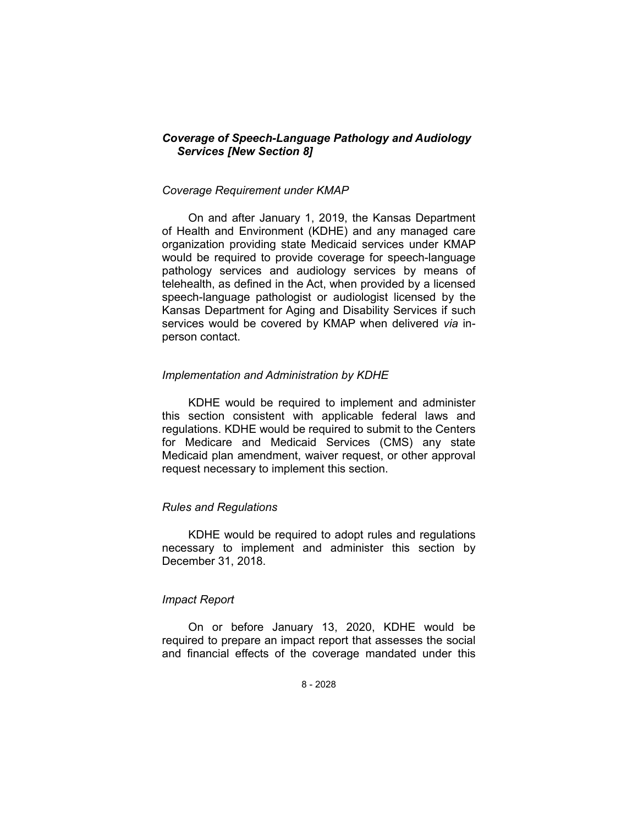# *Coverage of Speech-Language Pathology and Audiology Services [New Section 8]*

### *Coverage Requirement under KMAP*

On and after January 1, 2019, the Kansas Department of Health and Environment (KDHE) and any managed care organization providing state Medicaid services under KMAP would be required to provide coverage for speech-language pathology services and audiology services by means of telehealth, as defined in the Act, when provided by a licensed speech-language pathologist or audiologist licensed by the Kansas Department for Aging and Disability Services if such services would be covered by KMAP when delivered *via* inperson contact.

### *Implementation and Administration by KDHE*

KDHE would be required to implement and administer this section consistent with applicable federal laws and regulations. KDHE would be required to submit to the Centers for Medicare and Medicaid Services (CMS) any state Medicaid plan amendment, waiver request, or other approval request necessary to implement this section.

#### *Rules and Regulations*

KDHE would be required to adopt rules and regulations necessary to implement and administer this section by December 31, 2018.

## *Impact Report*

On or before January 13, 2020, KDHE would be required to prepare an impact report that assesses the social and financial effects of the coverage mandated under this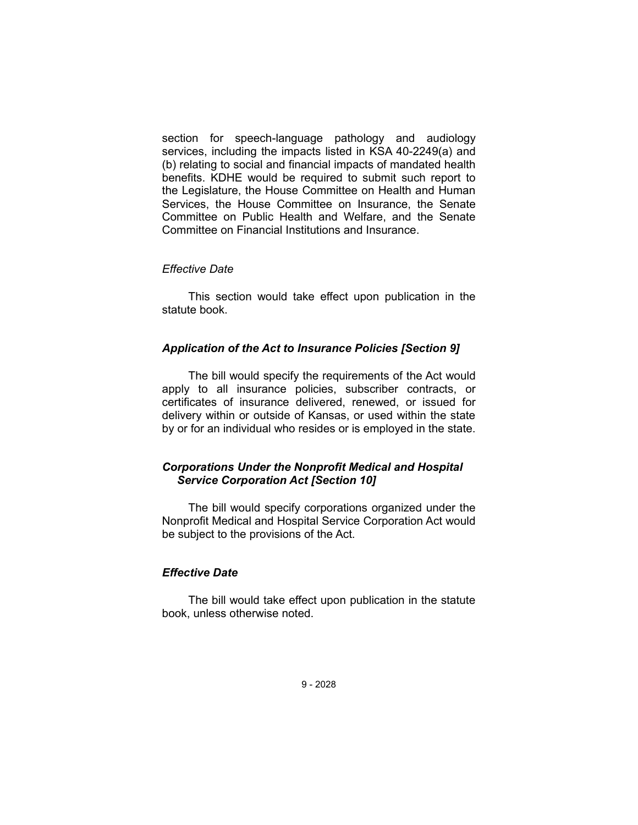section for speech-language pathology and audiology services, including the impacts listed in KSA 40-2249(a) and (b) relating to social and financial impacts of mandated health benefits. KDHE would be required to submit such report to the Legislature, the House Committee on Health and Human Services, the House Committee on Insurance, the Senate Committee on Public Health and Welfare, and the Senate Committee on Financial Institutions and Insurance.

### *Effective Date*

This section would take effect upon publication in the statute book.

## *Application of the Act to Insurance Policies [Section 9]*

The bill would specify the requirements of the Act would apply to all insurance policies, subscriber contracts, or certificates of insurance delivered, renewed, or issued for delivery within or outside of Kansas, or used within the state by or for an individual who resides or is employed in the state.

# *Corporations Under the Nonprofit Medical and Hospital Service Corporation Act [Section 10]*

The bill would specify corporations organized under the Nonprofit Medical and Hospital Service Corporation Act would be subject to the provisions of the Act.

# *Effective Date*

The bill would take effect upon publication in the statute book, unless otherwise noted.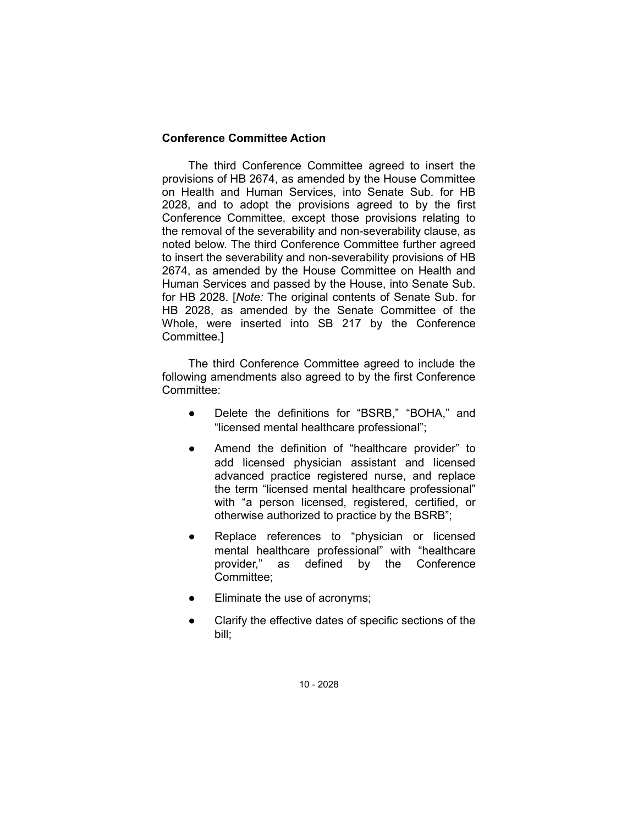## **Conference Committee Action**

The third Conference Committee agreed to insert the provisions of HB 2674, as amended by the House Committee on Health and Human Services, into Senate Sub. for HB 2028, and to adopt the provisions agreed to by the first Conference Committee, except those provisions relating to the removal of the severability and non-severability clause, as noted below. The third Conference Committee further agreed to insert the severability and non-severability provisions of HB 2674, as amended by the House Committee on Health and Human Services and passed by the House, into Senate Sub. for HB 2028. [*Note:* The original contents of Senate Sub. for HB 2028, as amended by the Senate Committee of the Whole, were inserted into SB 217 by the Conference Committee.]

The third Conference Committee agreed to include the following amendments also agreed to by the first Conference Committee:

- Delete the definitions for "BSRB," "BOHA," and "licensed mental healthcare professional";
- Amend the definition of "healthcare provider" to add licensed physician assistant and licensed advanced practice registered nurse, and replace the term "licensed mental healthcare professional" with "a person licensed, registered, certified, or otherwise authorized to practice by the BSRB";
- Replace references to "physician or licensed mental healthcare professional" with "healthcare provider," as defined by the Conference Committee;
- Eliminate the use of acronyms;
- Clarify the effective dates of specific sections of the bill;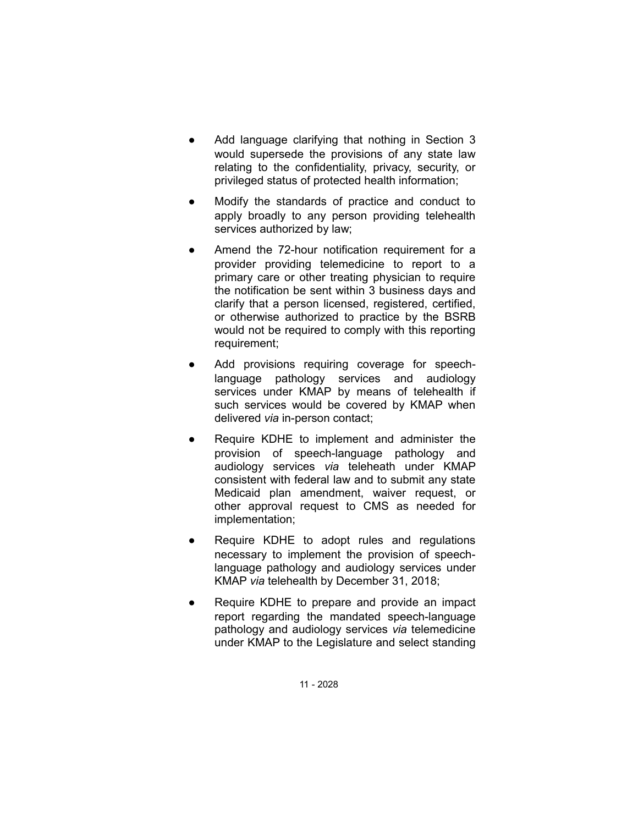- Add language clarifying that nothing in Section 3 would supersede the provisions of any state law relating to the confidentiality, privacy, security, or privileged status of protected health information;
- Modify the standards of practice and conduct to apply broadly to any person providing telehealth services authorized by law;
- Amend the 72-hour notification requirement for a provider providing telemedicine to report to a primary care or other treating physician to require the notification be sent within 3 business days and clarify that a person licensed, registered, certified, or otherwise authorized to practice by the BSRB would not be required to comply with this reporting requirement;
- Add provisions requiring coverage for speechlanguage pathology services and audiology services under KMAP by means of telehealth if such services would be covered by KMAP when delivered *via* in-person contact;
- Require KDHE to implement and administer the provision of speech-language pathology and audiology services *via* teleheath under KMAP consistent with federal law and to submit any state Medicaid plan amendment, waiver request, or other approval request to CMS as needed for implementation;
- Require KDHE to adopt rules and regulations necessary to implement the provision of speechlanguage pathology and audiology services under KMAP *via* telehealth by December 31, 2018;
- Require KDHE to prepare and provide an impact report regarding the mandated speech-language pathology and audiology services *via* telemedicine under KMAP to the Legislature and select standing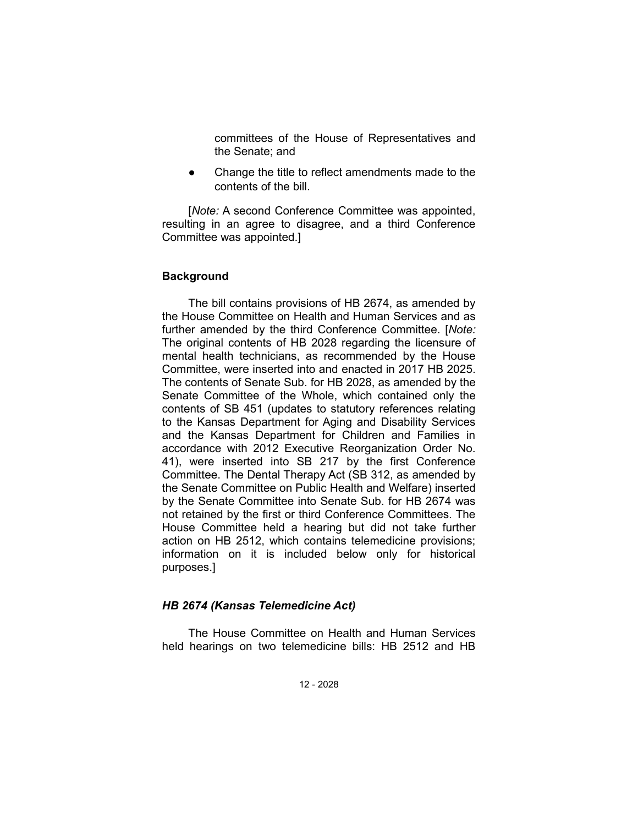committees of the House of Representatives and the Senate; and

Change the title to reflect amendments made to the contents of the bill.

[*Note:* A second Conference Committee was appointed, resulting in an agree to disagree, and a third Conference Committee was appointed.]

## **Background**

The bill contains provisions of HB 2674, as amended by the House Committee on Health and Human Services and as further amended by the third Conference Committee. [*Note:* The original contents of HB 2028 regarding the licensure of mental health technicians, as recommended by the House Committee, were inserted into and enacted in 2017 HB 2025. The contents of Senate Sub. for HB 2028, as amended by the Senate Committee of the Whole, which contained only the contents of SB 451 (updates to statutory references relating to the Kansas Department for Aging and Disability Services and the Kansas Department for Children and Families in accordance with 2012 Executive Reorganization Order No. 41), were inserted into SB 217 by the first Conference Committee. The Dental Therapy Act (SB 312, as amended by the Senate Committee on Public Health and Welfare) inserted by the Senate Committee into Senate Sub. for HB 2674 was not retained by the first or third Conference Committees. The House Committee held a hearing but did not take further action on HB 2512, which contains telemedicine provisions; information on it is included below only for historical purposes.]

#### *HB 2674 (Kansas Telemedicine Act)*

The House Committee on Health and Human Services held hearings on two telemedicine bills: HB 2512 and HB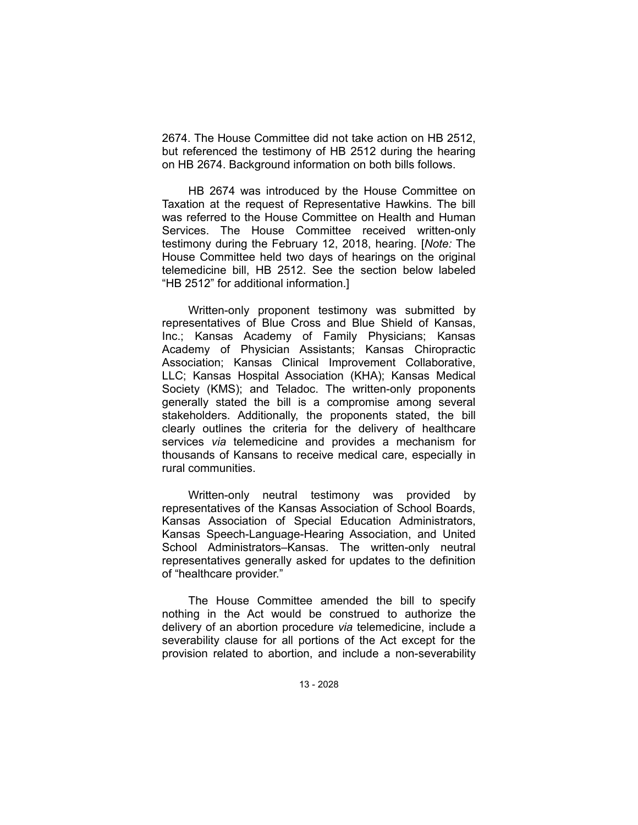2674. The House Committee did not take action on HB 2512, but referenced the testimony of HB 2512 during the hearing on HB 2674. Background information on both bills follows.

HB 2674 was introduced by the House Committee on Taxation at the request of Representative Hawkins. The bill was referred to the House Committee on Health and Human Services. The House Committee received written-only testimony during the February 12, 2018, hearing. [*Note:* The House Committee held two days of hearings on the original telemedicine bill, HB 2512. See the section below labeled "HB 2512" for additional information.]

Written-only proponent testimony was submitted by representatives of Blue Cross and Blue Shield of Kansas, Inc.; Kansas Academy of Family Physicians; Kansas Academy of Physician Assistants; Kansas Chiropractic Association; Kansas Clinical Improvement Collaborative, LLC; Kansas Hospital Association (KHA); Kansas Medical Society (KMS); and Teladoc. The written-only proponents generally stated the bill is a compromise among several stakeholders. Additionally, the proponents stated, the bill clearly outlines the criteria for the delivery of healthcare services *via* telemedicine and provides a mechanism for thousands of Kansans to receive medical care, especially in rural communities.

Written-only neutral testimony was provided by representatives of the Kansas Association of School Boards, Kansas Association of Special Education Administrators, Kansas Speech-Language-Hearing Association, and United School Administrators–Kansas. The written-only neutral representatives generally asked for updates to the definition of "healthcare provider."

The House Committee amended the bill to specify nothing in the Act would be construed to authorize the delivery of an abortion procedure *via* telemedicine, include a severability clause for all portions of the Act except for the provision related to abortion, and include a non-severability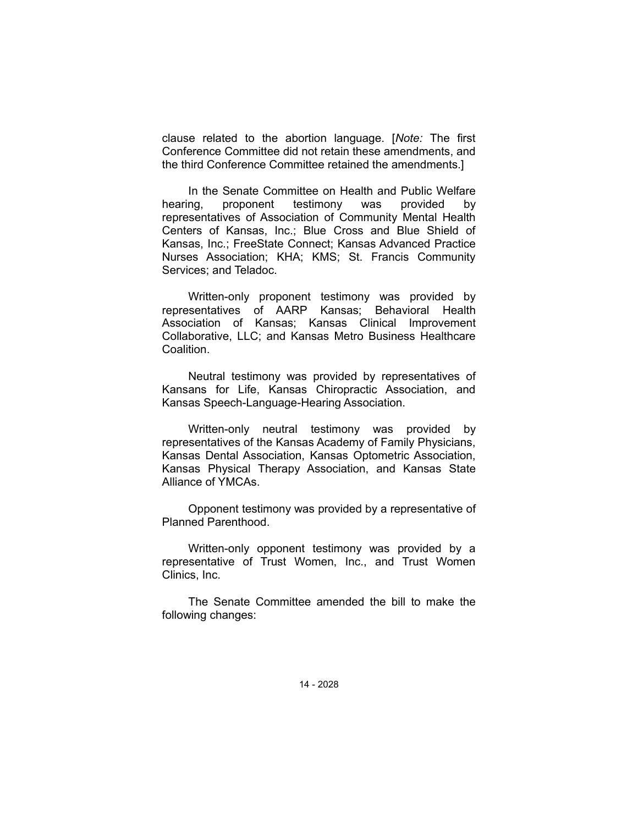clause related to the abortion language. [*Note:* The first Conference Committee did not retain these amendments, and the third Conference Committee retained the amendments.]

In the Senate Committee on Health and Public Welfare hearing, proponent testimony was provided by representatives of Association of Community Mental Health Centers of Kansas, Inc.; Blue Cross and Blue Shield of Kansas, Inc.; FreeState Connect; Kansas Advanced Practice Nurses Association; KHA; KMS; St. Francis Community Services; and Teladoc.

Written-only proponent testimony was provided by representatives of AARP Kansas; Behavioral Health Association of Kansas; Kansas Clinical Improvement Collaborative, LLC; and Kansas Metro Business Healthcare Coalition.

Neutral testimony was provided by representatives of Kansans for Life, Kansas Chiropractic Association, and Kansas Speech-Language-Hearing Association.

Written-only neutral testimony was provided by representatives of the Kansas Academy of Family Physicians, Kansas Dental Association, Kansas Optometric Association, Kansas Physical Therapy Association, and Kansas State Alliance of YMCAs.

Opponent testimony was provided by a representative of Planned Parenthood.

Written-only opponent testimony was provided by a representative of Trust Women, Inc., and Trust Women Clinics, Inc.

The Senate Committee amended the bill to make the following changes: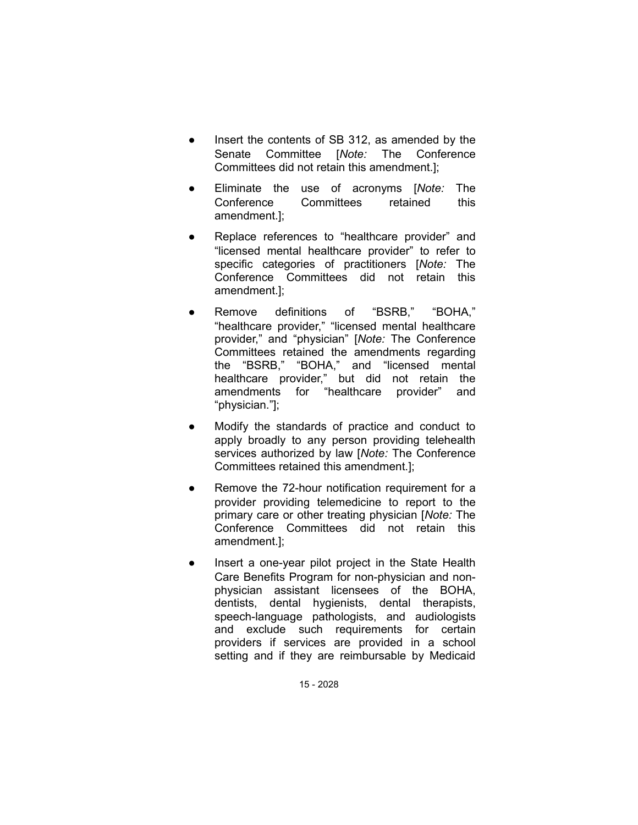- Insert the contents of SB 312, as amended by the Senate Committee [*Note:* The Conference Committees did not retain this amendment.];
- Eliminate the use of acronyms [*Note:* The Conference Committees retained this amendment.];
- Replace references to "healthcare provider" and "licensed mental healthcare provider" to refer to specific categories of practitioners [*Note:* The Conference Committees did not retain this amendment.];
- Remove definitions of "BSRB," "BOHA," "healthcare provider," "licensed mental healthcare provider," and "physician" [*Note:* The Conference Committees retained the amendments regarding the "BSRB," "BOHA," and "licensed mental healthcare provider," but did not retain the amendments for "healthcare provider" and "physician."];
- Modify the standards of practice and conduct to apply broadly to any person providing telehealth services authorized by law [*Note:* The Conference Committees retained this amendment.];
- Remove the 72-hour notification requirement for a provider providing telemedicine to report to the primary care or other treating physician [*Note:* The Conference Committees did not retain this amendment.];
- Insert a one-year pilot project in the State Health Care Benefits Program for non-physician and nonphysician assistant licensees of the BOHA, dentists, dental hygienists, dental therapists, speech-language pathologists, and audiologists and exclude such requirements for certain providers if services are provided in a school setting and if they are reimbursable by Medicaid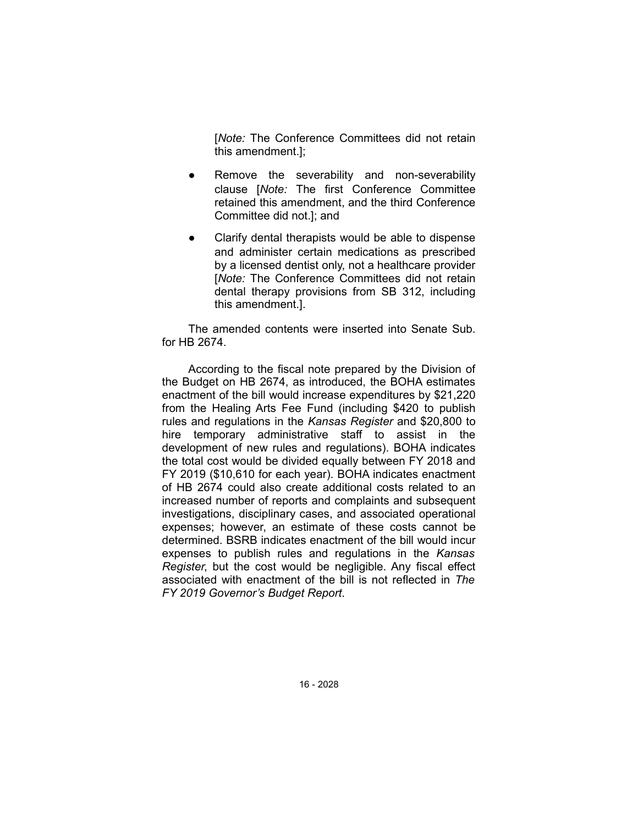[*Note:* The Conference Committees did not retain this amendment.];

- Remove the severability and non-severability clause [*Note:* The first Conference Committee retained this amendment, and the third Conference Committee did not.]; and
- Clarify dental therapists would be able to dispense and administer certain medications as prescribed by a licensed dentist only, not a healthcare provider [*Note:* The Conference Committees did not retain dental therapy provisions from SB 312, including this amendment.].

The amended contents were inserted into Senate Sub. for HB 2674.

According to the fiscal note prepared by the Division of the Budget on HB 2674, as introduced, the BOHA estimates enactment of the bill would increase expenditures by \$21,220 from the Healing Arts Fee Fund (including \$420 to publish rules and regulations in the *Kansas Register* and \$20,800 to hire temporary administrative staff to assist in the development of new rules and regulations). BOHA indicates the total cost would be divided equally between FY 2018 and FY 2019 (\$10,610 for each year). BOHA indicates enactment of HB 2674 could also create additional costs related to an increased number of reports and complaints and subsequent investigations, disciplinary cases, and associated operational expenses; however, an estimate of these costs cannot be determined. BSRB indicates enactment of the bill would incur expenses to publish rules and regulations in the *Kansas Register*, but the cost would be negligible. Any fiscal effect associated with enactment of the bill is not reflected in *The FY 2019 Governor's Budget Report*.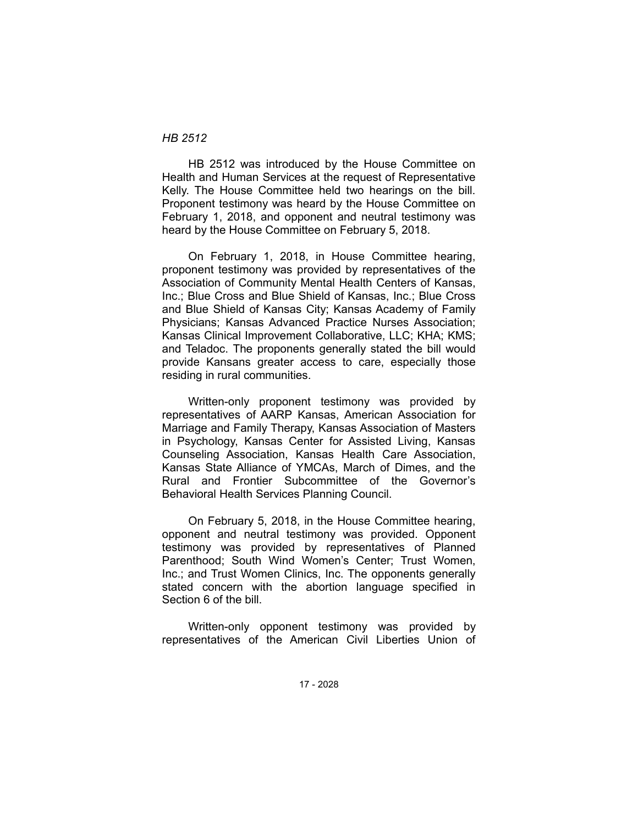### *HB 2512*

HB 2512 was introduced by the House Committee on Health and Human Services at the request of Representative Kelly. The House Committee held two hearings on the bill. Proponent testimony was heard by the House Committee on February 1, 2018, and opponent and neutral testimony was heard by the House Committee on February 5, 2018.

On February 1, 2018, in House Committee hearing, proponent testimony was provided by representatives of the Association of Community Mental Health Centers of Kansas, Inc.; Blue Cross and Blue Shield of Kansas, Inc.; Blue Cross and Blue Shield of Kansas City; Kansas Academy of Family Physicians; Kansas Advanced Practice Nurses Association; Kansas Clinical Improvement Collaborative, LLC; KHA; KMS; and Teladoc. The proponents generally stated the bill would provide Kansans greater access to care, especially those residing in rural communities.

Written-only proponent testimony was provided by representatives of AARP Kansas, American Association for Marriage and Family Therapy, Kansas Association of Masters in Psychology, Kansas Center for Assisted Living, Kansas Counseling Association, Kansas Health Care Association, Kansas State Alliance of YMCAs, March of Dimes, and the Rural and Frontier Subcommittee of the Governor's Behavioral Health Services Planning Council.

On February 5, 2018, in the House Committee hearing, opponent and neutral testimony was provided. Opponent testimony was provided by representatives of Planned Parenthood; South Wind Women's Center; Trust Women, Inc.; and Trust Women Clinics, Inc. The opponents generally stated concern with the abortion language specified in Section 6 of the bill.

Written-only opponent testimony was provided by representatives of the American Civil Liberties Union of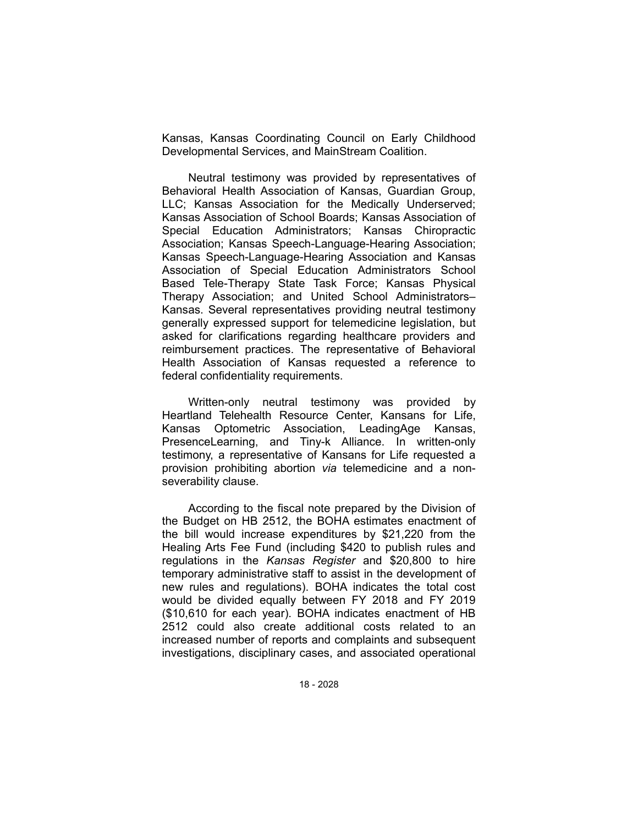Kansas, Kansas Coordinating Council on Early Childhood Developmental Services, and MainStream Coalition.

Neutral testimony was provided by representatives of Behavioral Health Association of Kansas, Guardian Group, LLC; Kansas Association for the Medically Underserved; Kansas Association of School Boards; Kansas Association of Special Education Administrators; Kansas Chiropractic Association; Kansas Speech-Language-Hearing Association; Kansas Speech-Language-Hearing Association and Kansas Association of Special Education Administrators School Based Tele-Therapy State Task Force; Kansas Physical Therapy Association; and United School Administrators– Kansas. Several representatives providing neutral testimony generally expressed support for telemedicine legislation, but asked for clarifications regarding healthcare providers and reimbursement practices. The representative of Behavioral Health Association of Kansas requested a reference to federal confidentiality requirements.

Written-only neutral testimony was provided by Heartland Telehealth Resource Center, Kansans for Life, Kansas Optometric Association, LeadingAge Kansas, PresenceLearning, and Tiny-k Alliance. In written-only testimony, a representative of Kansans for Life requested a provision prohibiting abortion *via* telemedicine and a nonseverability clause.

According to the fiscal note prepared by the Division of the Budget on HB 2512, the BOHA estimates enactment of the bill would increase expenditures by \$21,220 from the Healing Arts Fee Fund (including \$420 to publish rules and regulations in the *Kansas Register* and \$20,800 to hire temporary administrative staff to assist in the development of new rules and regulations). BOHA indicates the total cost would be divided equally between FY 2018 and FY 2019 (\$10,610 for each year). BOHA indicates enactment of HB 2512 could also create additional costs related to an increased number of reports and complaints and subsequent investigations, disciplinary cases, and associated operational